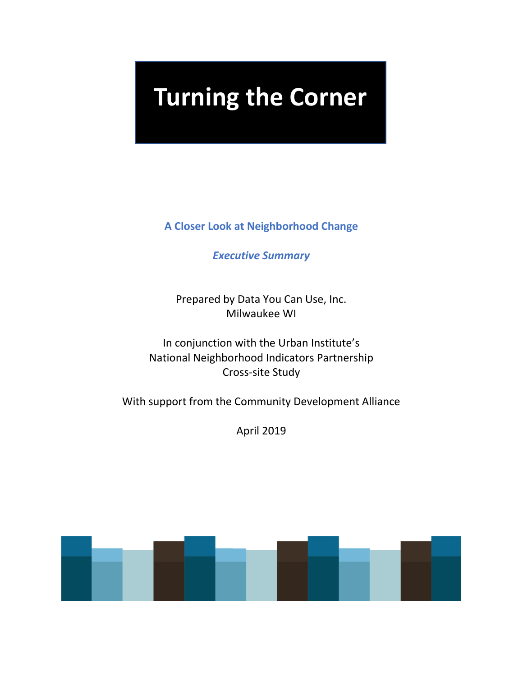# **Turning the Corner**

**A Closer Look at Neighborhood Change** 

*Executive Summary* 

Prepared by Data You Can Use, Inc. Milwaukee WI

In conjunction with the Urban Institute's National Neighborhood Indicators Partnership Cross-site Study

With support from the Community Development Alliance

April 2019

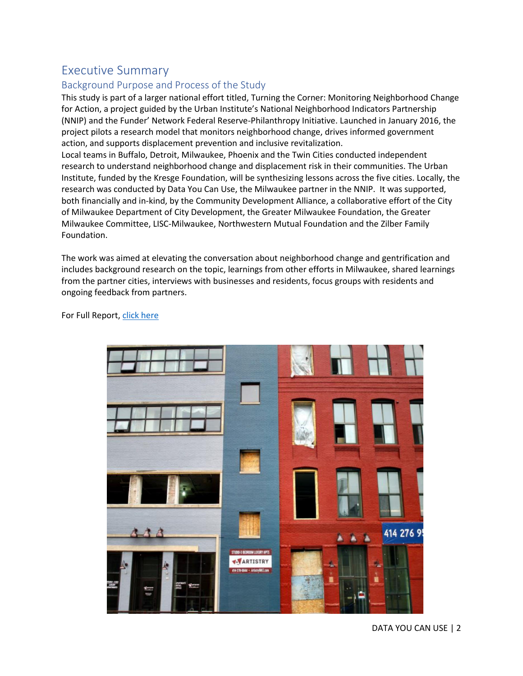# Executive Summary

## Background Purpose and Process of the Study

This study is part of a larger national effort titled, Turning the Corner: Monitoring Neighborhood Change for Action, a project guided by the Urban Institute's National Neighborhood Indicators Partnership (NNIP) and the Funder' Network Federal Reserve-Philanthropy Initiative. Launched in January 2016, the project pilots a research model that monitors neighborhood change, drives informed government action, and supports displacement prevention and inclusive revitalization.

Local teams in Buffalo, Detroit, Milwaukee, Phoenix and the Twin Cities conducted independent research to understand neighborhood change and displacement risk in their communities. The Urban Institute, funded by the Kresge Foundation, will be synthesizing lessons across the five cities. Locally, the research was conducted by Data You Can Use, the Milwaukee partner in the NNIP. It was supported, both financially and in-kind, by the Community Development Alliance, a collaborative effort of the City of Milwaukee Department of City Development, the Greater Milwaukee Foundation, the Greater Milwaukee Committee, LISC-Milwaukee, Northwestern Mutual Foundation and the Zilber Family Foundation.

The work was aimed at elevating the conversation about neighborhood change and gentrification and includes background research on the topic, learnings from other efforts in Milwaukee, shared learnings from the partner cities, interviews with businesses and residents, focus groups with residents and ongoing feedback from partners.

For Full Report, [click here](https://www.datayoucanuse.org/wp-content/uploads/dlm_uploads/2019/04/TTC-Full-Report.pdf)

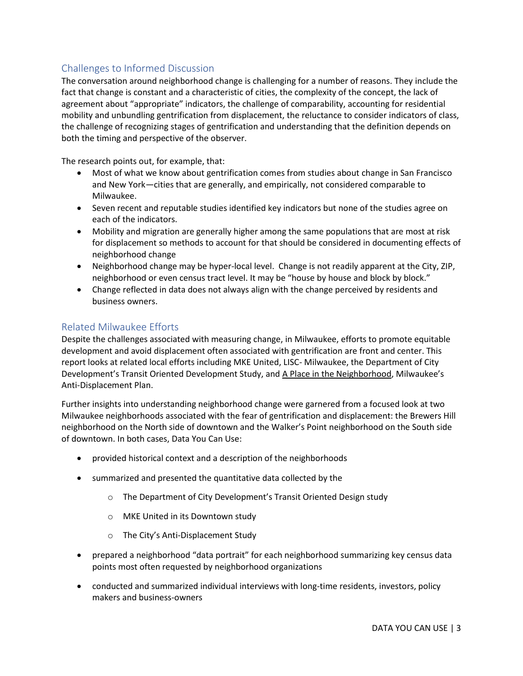## Challenges to Informed Discussion

The conversation around neighborhood change is challenging for a number of reasons. They include the fact that change is constant and a characteristic of cities, the complexity of the concept, the lack of agreement about "appropriate" indicators, the challenge of comparability, accounting for residential mobility and unbundling gentrification from displacement, the reluctance to consider indicators of class, the challenge of recognizing stages of gentrification and understanding that the definition depends on both the timing and perspective of the observer.

The research points out, for example, that:

- Most of what we know about gentrification comes from studies about change in San Francisco and New York—cities that are generally, and empirically, not considered comparable to Milwaukee.
- Seven recent and reputable studies identified key indicators but none of the studies agree on each of the indicators.
- Mobility and migration are generally higher among the same populations that are most at risk for displacement so methods to account for that should be considered in documenting effects of neighborhood change
- Neighborhood change may be hyper-local level. Change is not readily apparent at the City, ZIP, neighborhood or even census tract level. It may be "house by house and block by block."
- Change reflected in data does not always align with the change perceived by residents and business owners.

## Related Milwaukee Efforts

Despite the challenges associated with measuring change, in Milwaukee, efforts to promote equitable development and avoid displacement often associated with gentrification are front and center. This report looks at related local efforts including MKE United, LISC- Milwaukee, the Department of City Development's Transit Oriented Development Study, and A Place in the Neighborhood, Milwaukee's Anti-Displacement Plan.

Further insights into understanding neighborhood change were garnered from a focused look at two Milwaukee neighborhoods associated with the fear of gentrification and displacement: the Brewers Hill neighborhood on the North side of downtown and the Walker's Point neighborhood on the South side of downtown. In both cases, Data You Can Use:

- provided historical context and a description of the neighborhoods
- summarized and presented the quantitative data collected by the
	- o The Department of City Development's Transit Oriented Design study
	- o MKE United in its Downtown study
	- o The City's Anti-Displacement Study
- prepared a neighborhood "data portrait" for each neighborhood summarizing key census data points most often requested by neighborhood organizations
- conducted and summarized individual interviews with long-time residents, investors, policy makers and business-owners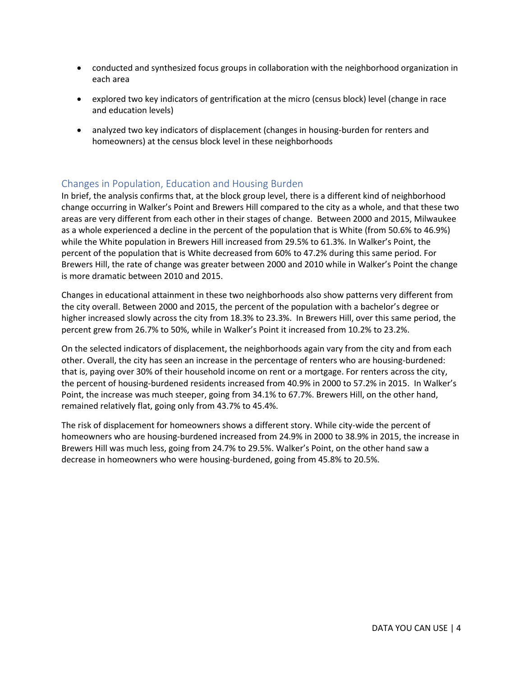- conducted and synthesized focus groups in collaboration with the neighborhood organization in each area
- explored two key indicators of gentrification at the micro (census block) level (change in race and education levels)
- analyzed two key indicators of displacement (changes in housing-burden for renters and homeowners) at the census block level in these neighborhoods

## Changes in Population, Education and Housing Burden

In brief, the analysis confirms that, at the block group level, there is a different kind of neighborhood change occurring in Walker's Point and Brewers Hill compared to the city as a whole, and that these two areas are very different from each other in their stages of change. Between 2000 and 2015, Milwaukee as a whole experienced a decline in the percent of the population that is White (from 50.6% to 46.9%) while the White population in Brewers Hill increased from 29.5% to 61.3%. In Walker's Point, the percent of the population that is White decreased from 60% to 47.2% during this same period. For Brewers Hill, the rate of change was greater between 2000 and 2010 while in Walker's Point the change is more dramatic between 2010 and 2015.

Changes in educational attainment in these two neighborhoods also show patterns very different from the city overall. Between 2000 and 2015, the percent of the population with a bachelor's degree or higher increased slowly across the city from 18.3% to 23.3%. In Brewers Hill, over this same period, the percent grew from 26.7% to 50%, while in Walker's Point it increased from 10.2% to 23.2%.

On the selected indicators of displacement, the neighborhoods again vary from the city and from each other. Overall, the city has seen an increase in the percentage of renters who are housing-burdened: that is, paying over 30% of their household income on rent or a mortgage. For renters across the city, the percent of housing-burdened residents increased from 40.9% in 2000 to 57.2% in 2015. In Walker's Point, the increase was much steeper, going from 34.1% to 67.7%. Brewers Hill, on the other hand, remained relatively flat, going only from 43.7% to 45.4%.

The risk of displacement for homeowners shows a different story. While city-wide the percent of homeowners who are housing-burdened increased from 24.9% in 2000 to 38.9% in 2015, the increase in Brewers Hill was much less, going from 24.7% to 29.5%. Walker's Point, on the other hand saw a decrease in homeowners who were housing-burdened, going from 45.8% to 20.5%.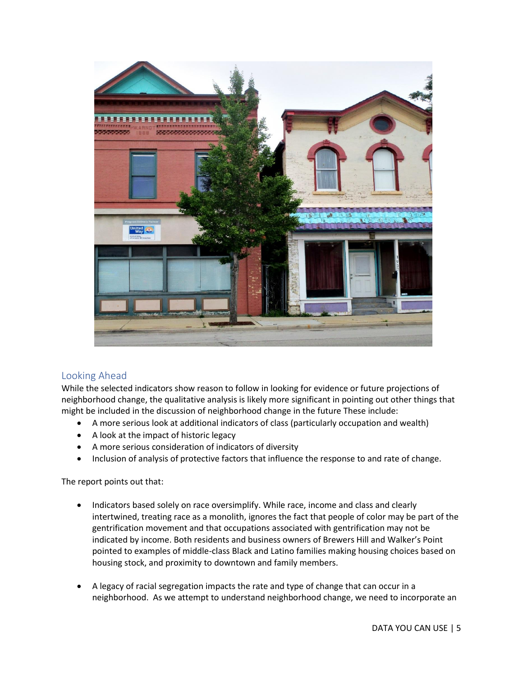

## Looking Ahead

While the selected indicators show reason to follow in looking for evidence or future projections of neighborhood change, the qualitative analysis is likely more significant in pointing out other things that might be included in the discussion of neighborhood change in the future These include:

- A more serious look at additional indicators of class (particularly occupation and wealth)
- A look at the impact of historic legacy
- A more serious consideration of indicators of diversity
- Inclusion of analysis of protective factors that influence the response to and rate of change.

The report points out that:

- Indicators based solely on race oversimplify. While race, income and class and clearly intertwined, treating race as a monolith, ignores the fact that people of color may be part of the gentrification movement and that occupations associated with gentrification may not be indicated by income. Both residents and business owners of Brewers Hill and Walker's Point pointed to examples of middle-class Black and Latino families making housing choices based on housing stock, and proximity to downtown and family members.
- A legacy of racial segregation impacts the rate and type of change that can occur in a neighborhood. As we attempt to understand neighborhood change, we need to incorporate an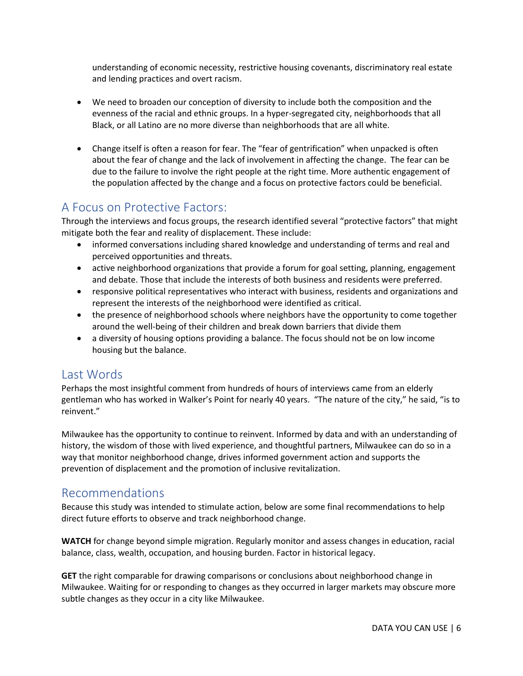understanding of economic necessity, restrictive housing covenants, discriminatory real estate and lending practices and overt racism.

- We need to broaden our conception of diversity to include both the composition and the evenness of the racial and ethnic groups. In a hyper-segregated city, neighborhoods that all Black, or all Latino are no more diverse than neighborhoods that are all white.
- Change itself is often a reason for fear. The "fear of gentrification" when unpacked is often about the fear of change and the lack of involvement in affecting the change. The fear can be due to the failure to involve the right people at the right time. More authentic engagement of the population affected by the change and a focus on protective factors could be beneficial.

# A Focus on Protective Factors:

Through the interviews and focus groups, the research identified several "protective factors" that might mitigate both the fear and reality of displacement. These include:

- informed conversations including shared knowledge and understanding of terms and real and perceived opportunities and threats.
- active neighborhood organizations that provide a forum for goal setting, planning, engagement and debate. Those that include the interests of both business and residents were preferred.
- responsive political representatives who interact with business, residents and organizations and represent the interests of the neighborhood were identified as critical.
- the presence of neighborhood schools where neighbors have the opportunity to come together around the well-being of their children and break down barriers that divide them
- a diversity of housing options providing a balance. The focus should not be on low income housing but the balance.

# Last Words

Perhaps the most insightful comment from hundreds of hours of interviews came from an elderly gentleman who has worked in Walker's Point for nearly 40 years. "The nature of the city," he said, "is to reinvent."

Milwaukee has the opportunity to continue to reinvent. Informed by data and with an understanding of history, the wisdom of those with lived experience, and thoughtful partners, Milwaukee can do so in a way that monitor neighborhood change, drives informed government action and supports the prevention of displacement and the promotion of inclusive revitalization.

# Recommendations

Because this study was intended to stimulate action, below are some final recommendations to help direct future efforts to observe and track neighborhood change.

**WATCH** for change beyond simple migration. Regularly monitor and assess changes in education, racial balance, class, wealth, occupation, and housing burden. Factor in historical legacy.

**GET** the right comparable for drawing comparisons or conclusions about neighborhood change in Milwaukee. Waiting for or responding to changes as they occurred in larger markets may obscure more subtle changes as they occur in a city like Milwaukee.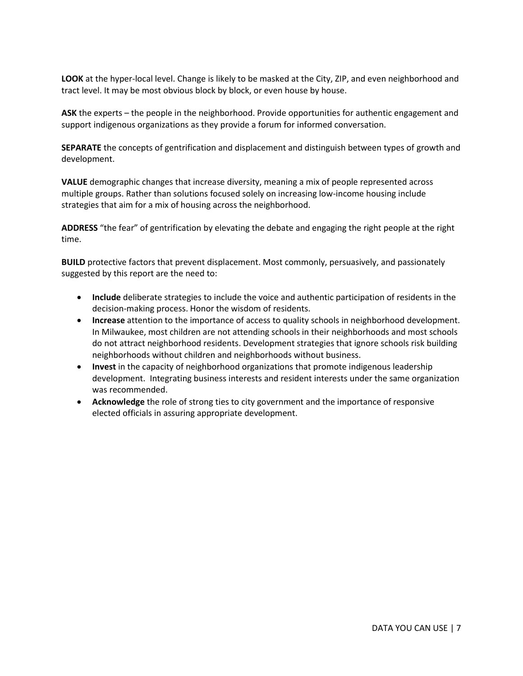**LOOK** at the hyper-local level. Change is likely to be masked at the City, ZIP, and even neighborhood and tract level. It may be most obvious block by block, or even house by house.

**ASK** the experts – the people in the neighborhood. Provide opportunities for authentic engagement and support indigenous organizations as they provide a forum for informed conversation.

**SEPARATE** the concepts of gentrification and displacement and distinguish between types of growth and development.

**VALUE** demographic changes that increase diversity, meaning a mix of people represented across multiple groups. Rather than solutions focused solely on increasing low-income housing include strategies that aim for a mix of housing across the neighborhood.

**ADDRESS** "the fear" of gentrification by elevating the debate and engaging the right people at the right time.

**BUILD** protective factors that prevent displacement. Most commonly, persuasively, and passionately suggested by this report are the need to:

- **Include** deliberate strategies to include the voice and authentic participation of residents in the decision-making process. Honor the wisdom of residents.
- **Increase** attention to the importance of access to quality schools in neighborhood development. In Milwaukee, most children are not attending schools in their neighborhoods and most schools do not attract neighborhood residents. Development strategies that ignore schools risk building neighborhoods without children and neighborhoods without business.
- **Invest** in the capacity of neighborhood organizations that promote indigenous leadership development. Integrating business interests and resident interests under the same organization was recommended.
- **Acknowledge** the role of strong ties to city government and the importance of responsive elected officials in assuring appropriate development.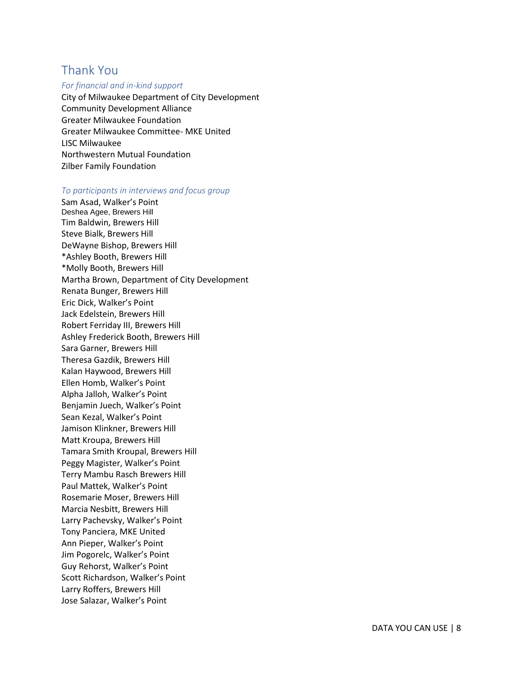# Thank You

#### *For financial and in-kind support*

City of Milwaukee Department of City Development Community Development Alliance Greater Milwaukee Foundation Greater Milwaukee Committee- MKE United LISC Milwaukee Northwestern Mutual Foundation Zilber Family Foundation

### *To participants in interviews and focus group*

Sam Asad, Walker's Point Deshea Agee, Brewers Hill Tim Baldwin, Brewers Hill Steve Bialk, Brewers Hill DeWayne Bishop, Brewers Hill \*Ashley Booth, Brewers Hill \*Molly Booth, Brewers Hill Martha Brown, Department of City Development Renata Bunger, Brewers Hill Eric Dick, Walker's Point Jack Edelstein, Brewers Hill Robert Ferriday III, Brewers Hill Ashley Frederick Booth, Brewers Hill Sara Garner, Brewers Hill Theresa Gazdik, Brewers Hill Kalan Haywood, Brewers Hill Ellen Homb, Walker's Point Alpha Jalloh, Walker's Point Benjamin Juech, Walker's Point Sean Kezal, Walker's Point Jamison Klinkner, Brewers Hill Matt Kroupa, Brewers Hill Tamara Smith Kroupal, Brewers Hill Peggy Magister, Walker's Point Terry Mambu Rasch Brewers Hill Paul Mattek, Walker's Point Rosemarie Moser, Brewers Hill Marcia Nesbitt, Brewers Hill Larry Pachevsky, Walker's Point Tony Panciera, MKE United Ann Pieper, Walker's Point Jim Pogorelc, Walker's Point Guy Rehorst, Walker's Point Scott Richardson, Walker's Point Larry Roffers, Brewers Hill Jose Salazar, Walker's Point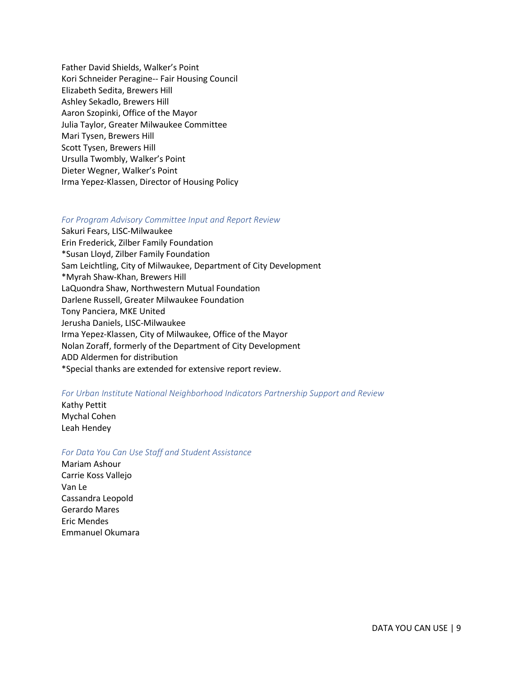Father David Shields, Walker's Point Kori Schneider Peragine-- Fair Housing Council Elizabeth Sedita, Brewers Hill Ashley Sekadlo, Brewers Hill Aaron Szopinki, Office of the Mayor Julia Taylor, Greater Milwaukee Committee Mari Tysen, Brewers Hill Scott Tysen, Brewers Hill Ursulla Twombly, Walker's Point Dieter Wegner, Walker's Point Irma Yepez-Klassen, Director of Housing Policy

#### *For Program Advisory Committee Input and Report Review*

Sakuri Fears, LISC-Milwaukee Erin Frederick, Zilber Family Foundation \*Susan Lloyd, Zilber Family Foundation Sam Leichtling, City of Milwaukee, Department of City Development \*Myrah Shaw-Khan, Brewers Hill LaQuondra Shaw, Northwestern Mutual Foundation Darlene Russell, Greater Milwaukee Foundation Tony Panciera, MKE United Jerusha Daniels, LISC-Milwaukee Irma Yepez-Klassen, City of Milwaukee, Office of the Mayor Nolan Zoraff, formerly of the Department of City Development ADD Aldermen for distribution \*Special thanks are extended for extensive report review.

#### *For Urban Institute National Neighborhood Indicators Partnership Support and Review*

#### Kathy Pettit

Mychal Cohen Leah Hendey

### *For Data You Can Use Staff and Student Assistance*

Mariam Ashour Carrie Koss Vallejo Van Le Cassandra Leopold Gerardo Mares Eric Mendes Emmanuel Okumara